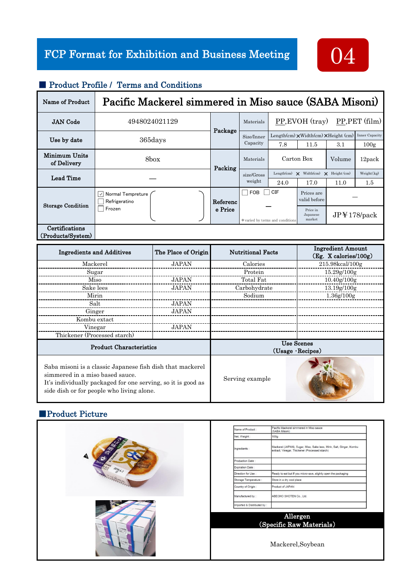

#### ■ Product Profile / Terms and Conditions

| Name of Product              | Pacific Mackerel simmered in Miso sauce (SABA Misoni) |          |                                  |                                                                      |                                |                          |            |  |
|------------------------------|-------------------------------------------------------|----------|----------------------------------|----------------------------------------------------------------------|--------------------------------|--------------------------|------------|--|
| <b>JAN</b> Code              | 4948024021129                                         | Package  | Materials                        | PP, EVOH (tray)<br>$PP, PET$ (film)                                  |                                |                          |            |  |
|                              | 365days                                               |          | Size/Inner<br>Capacity           | Length(cm) $\times$ Width(cm) $\times$ Height (cm)<br>Inner Capacity |                                |                          |            |  |
| Use by date                  |                                                       |          |                                  | 7.8                                                                  | 11.5                           | 3.1                      | 100g       |  |
| Minimum Units<br>of Delivery | 8box                                                  | Packing  | Materials                        | Carton Box                                                           |                                | Volume                   | 12pack     |  |
| <b>Lead Time</b>             |                                                       |          | size/Gross<br>weight             | Length(cm)                                                           | $\mathsf{X}$ Width(cm)         | $\mathsf{X}$ Height (cm) | Weight(kg) |  |
|                              |                                                       |          |                                  | 24.0                                                                 | 17.0                           | 11.0                     | $1.5\,$    |  |
| <b>Storage Condition</b>     | Normal Tempreture<br>$\checkmark$<br>Refrigeratino    | Referenc | FOB                              | <b>CIF</b>                                                           | Prices are<br>valid before     |                          |            |  |
|                              | Frozen                                                | e Price  | * varied by terms and conditions |                                                                      | Price in<br>Japanese<br>market | JPI178/pack              |            |  |
| Certifications               |                                                       |          |                                  |                                                                      |                                |                          |            |  |
| (Products/System)            |                                                       |          |                                  |                                                                      |                                |                          |            |  |

| <b>Ingredients and Additives</b>                                                                                                                                                                          | The Place of Origin | <b>Nutritional Facts</b>                     | <b>Ingredient Amount</b><br>(Eg. X calories/100g) |  |  |
|-----------------------------------------------------------------------------------------------------------------------------------------------------------------------------------------------------------|---------------------|----------------------------------------------|---------------------------------------------------|--|--|
| Mackerel                                                                                                                                                                                                  | <b>JAPAN</b>        | Calories                                     | 215.98kcal/100g                                   |  |  |
| Sugar                                                                                                                                                                                                     |                     | Protein                                      | 15.29g/100g                                       |  |  |
| Miso                                                                                                                                                                                                      | <b>JAPAN</b>        | Total Fat                                    | 10.40g/100g                                       |  |  |
| Sake lees                                                                                                                                                                                                 | <b>JAPAN</b>        | Carbohydrate                                 | 13.19g/100g                                       |  |  |
| Mirin                                                                                                                                                                                                     |                     | Sodium                                       | 1.36g/100g                                        |  |  |
| Salt                                                                                                                                                                                                      | <b>JAPAN</b>        |                                              |                                                   |  |  |
| Ginger                                                                                                                                                                                                    | <b>JAPAN</b>        |                                              |                                                   |  |  |
| Kombu extact                                                                                                                                                                                              |                     |                                              |                                                   |  |  |
| Vinegar                                                                                                                                                                                                   | <b>JAPAN</b>        |                                              |                                                   |  |  |
| Thickener (Processed starch)                                                                                                                                                                              |                     |                                              |                                                   |  |  |
| <b>Product Characteristics</b>                                                                                                                                                                            |                     | <b>Use Scenes</b><br>$(Usage \cdot Recipes)$ |                                                   |  |  |
| Saba misoni is a classic Japanese fish dish that mackerel<br>simmered in a miso based sauce.<br>It's individually packaged for one serving, so it is good as<br>side dish or for people who living alone. |                     | Serving example                              |                                                   |  |  |

## ■Product Picture